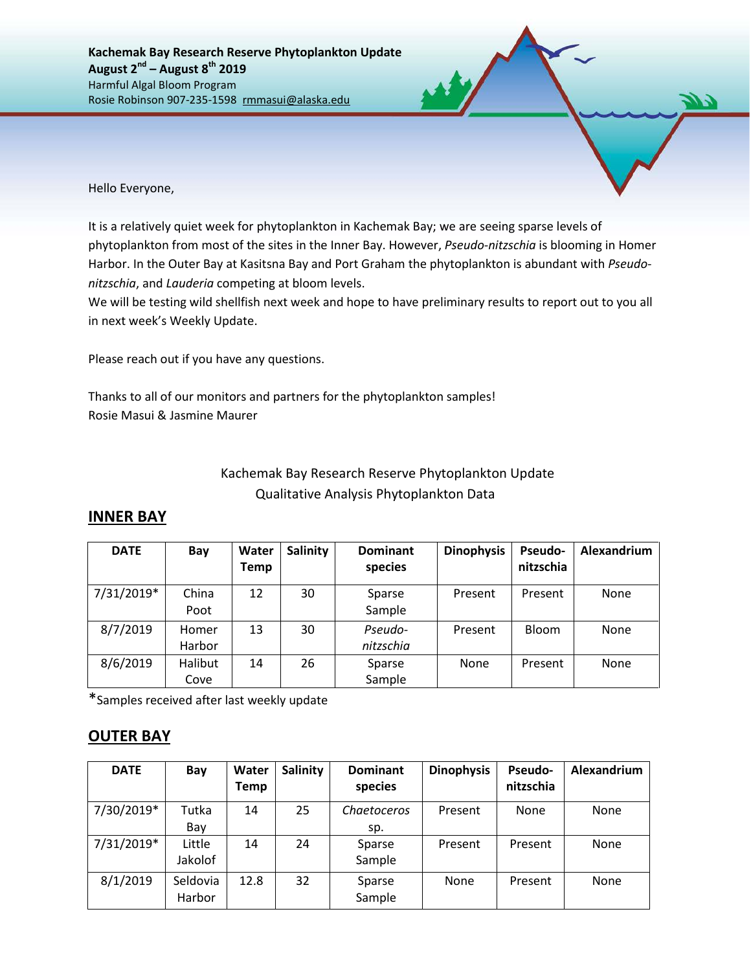Hello Everyone,

It is a relatively quiet week for phytoplankton in Kachemak Bay; we are seeing sparse levels of phytoplankton from most of the sites in the Inner Bay. However, *Pseudo-nitzschia* is blooming in Homer Harbor. In the Outer Bay at Kasitsna Bay and Port Graham the phytoplankton is abundant with *Pseudonitzschia*, and *Lauderia* competing at bloom levels.

We will be testing wild shellfish next week and hope to have preliminary results to report out to you all in next week's Weekly Update.

Please reach out if you have any questions.

Thanks to all of our monitors and partners for the phytoplankton samples! Rosie Masui & Jasmine Maurer

## Kachemak Bay Research Reserve Phytoplankton Update Qualitative Analysis Phytoplankton Data

## **INNER BAY**

| <b>DATE</b> | Bay     | Water<br><b>Temp</b> | Salinity | <b>Dominant</b><br>species | <b>Dinophysis</b> | Pseudo-<br>nitzschia | Alexandrium |
|-------------|---------|----------------------|----------|----------------------------|-------------------|----------------------|-------------|
|             |         |                      |          |                            |                   |                      |             |
| 7/31/2019*  | China   | 12                   | 30       | Sparse                     | Present           | Present              | None        |
|             | Poot    |                      |          | Sample                     |                   |                      |             |
| 8/7/2019    | Homer   | 13                   | 30       | Pseudo-                    | Present           | Bloom                | None        |
|             | Harbor  |                      |          | nitzschia                  |                   |                      |             |
| 8/6/2019    | Halibut | 14                   | 26       | Sparse                     | None              | Present              | None        |
|             | Cove    |                      |          | Sample                     |                   |                      |             |

\*Samples received after last weekly update

## **OUTER BAY**

| <b>DATE</b> | Bay                | Water<br>Temp | <b>Salinity</b> | <b>Dominant</b><br>species | <b>Dinophysis</b> | <b>Pseudo-</b><br>nitzschia | Alexandrium |
|-------------|--------------------|---------------|-----------------|----------------------------|-------------------|-----------------------------|-------------|
| 7/30/2019*  | Tutka              | 14            | 25              | Chaetoceros                | Present           | None                        | None        |
|             | Bay                |               |                 | sp.                        |                   |                             |             |
| 7/31/2019*  | Little<br>Jakolof  | 14            | 24              | Sparse<br>Sample           | Present           | Present                     | None        |
| 8/1/2019    | Seldovia<br>Harbor | 12.8          | 32              | Sparse<br>Sample           | None              | Present                     | None        |